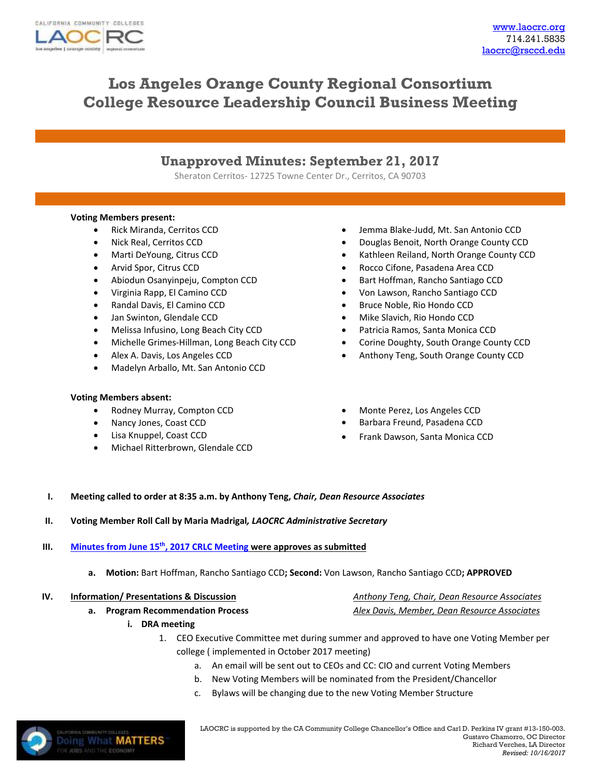

*Revised: 10/16/2017*

# **Los Angeles Orange County Regional Consortium College Resource Leadership Council Business Meeting**

## **Unapproved Minutes: September 21, 2017**

Sheraton Cerritos- 12725 Towne Center Dr., Cerritos, CA 90703

### **Voting Members present:**

- Rick Miranda, Cerritos CCD
- Nick Real, Cerritos CCD
- Marti DeYoung, Citrus CCD
- Arvid Spor, Citrus CCD
- Abiodun Osanyinpeju, Compton CCD
- Virginia Rapp, El Camino CCD
- Randal Davis, El Camino CCD
- Jan Swinton, Glendale CCD
- Melissa Infusino, Long Beach City CCD
- Michelle Grimes-Hillman, Long Beach City CCD
- Alex A. Davis, Los Angeles CCD
- Madelyn Arballo, Mt. San Antonio CCD

### **Voting Members absent:**

- Rodney Murray, Compton CCD
- Nancy Jones, Coast CCD
- Lisa Knuppel, Coast CCD
- Michael Ritterbrown, Glendale CCD
- Jemma Blake-Judd, Mt. San Antonio CCD
- Douglas Benoit, North Orange County CCD
- Kathleen Reiland, North Orange County CCD
- Rocco Cifone, Pasadena Area CCD
- Bart Hoffman, Rancho Santiago CCD
- Von Lawson, Rancho Santiago CCD
- Bruce Noble, Rio Hondo CCD
- Mike Slavich, Rio Hondo CCD
- Patricia Ramos, Santa Monica CCD
- Corine Doughty, South Orange County CCD
- Anthony Teng, South Orange County CCD
- Monte Perez, Los Angeles CCD
- Barbara Freund, Pasadena CCD
- Frank Dawson, Santa Monica CCD
- **I. Meeting called to order at 8:35 a.m. by Anthony Teng,** *Chair, Dean Resource Associates*

### **II. Voting Member Roll Call by Maria Madrigal***, LAOCRC Administrative Secretary*

### **III. Minutes from June 15th, 2017 [CRLC Meeting](http://www.laocrc.org/media/calendar/105/Approved%20MINUTES--June%202017%20CRLC%20Business%20Meeting.pdf) were approves as submitted**

**a. Motion:** Bart Hoffman, Rancho Santiago CCD**; Second:** Von Lawson, Rancho Santiago CCD**; APPROVED**

| IV. | <b>Information/ Presentations &amp; Discussion</b> | Anthony Teng, Chair, Dean Resource Associates |
|-----|----------------------------------------------------|-----------------------------------------------|
|     | a. Program Recommendation Process                  | Alex Davis, Member, Dean Resource Associates  |

- **i. DRA meeting**
	- 1. CEO Executive Committee met during summer and approved to have one Voting Member per college ( implemented in October 2017 meeting)
		- a. An email will be sent out to CEOs and CC: CIO and current Voting Members
		- b. New Voting Members will be nominated from the President/Chancellor
		- c. Bylaws will be changing due to the new Voting Member Structure

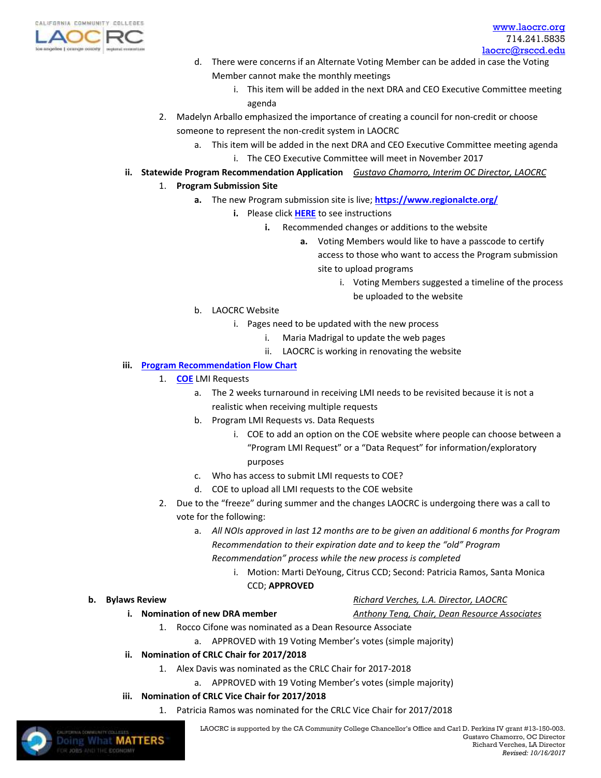

- d. There were concerns if an Alternate Voting Member can be added in case the Voting Member cannot make the monthly meetings
	- i. This item will be added in the next DRA and CEO Executive Committee meeting agenda
- 2. Madelyn Arballo emphasized the importance of creating a council for non-credit or choose someone to represent the non-credit system in LAOCRC
	- a. This item will be added in the next DRA and CEO Executive Committee meeting agenda i. The CEO Executive Committee will meet in November 2017
- **ii. Statewide Program Recommendation Application** *Gustavo Chamorro, Interim OC Director, LAOCRC*
	- 1. **Program Submission Site**
		- **a.** The new Program submission site is live; **<https://www.regionalcte.org/>**
			- **i.** Please click **[HERE](https://www.regionalcte.org/about)** to see instructions
				- **i.** Recommended changes or additions to the website
					- **a.** Voting Members would like to have a passcode to certify access to those who want to access the Program submission site to upload programs
						- i. Voting Members suggested a timeline of the process be uploaded to the website
		- b. LAOCRC Website
			- i. Pages need to be updated with the new process
				- i. Maria Madrigal to update the web pages
				- ii. LAOCRC is working in renovating the website

### **iii. [Program Recommendation Flow Chart](file:///C:/Users/ml08616/Downloads/LAOCRCProgRec%20(1)%20(6).pdf)**

- 1. **[COE](http://www.coeccc.net/)** LMI Requests
	- a. The 2 weeks turnaround in receiving LMI needs to be revisited because it is not a realistic when receiving multiple requests
	- b. Program LMI Requests vs. Data Requests
		- i. COE to add an option on the COE website where people can choose between a "Program LMI Request" or a "Data Request" for information/exploratory purposes
	- c. Who has access to submit LMI requests to COE?
	- d. COE to upload all LMI requests to the COE website
- 2. Due to the "freeze" during summer and the changes LAOCRC is undergoing there was a call to vote for the following:
	- a. *All NOIs approved in last 12 months are to be given an additional 6 months for Program Recommendation to their expiration date and to keep the "old" Program Recommendation" process while the new process is completed*
		- i. Motion: Marti DeYoung, Citrus CCD; Second: Patricia Ramos, Santa Monica CCD; **APPROVED**

- **b.** Bylaws Review *Bylaws Review Richard Verches, L.A. Director, LAOCRC* 
	- **i. Nomination of new DRA member** *Anthony Teng, Chair, Dean Resource Associates*
		- 1. Rocco Cifone was nominated as a Dean Resource Associate
			- a. APPROVED with 19 Voting Member's votes (simple majority)
	- **ii. Nomination of CRLC Chair for 2017/2018**
		- 1. Alex Davis was nominated as the CRLC Chair for 2017-2018
			- a. APPROVED with 19 Voting Member's votes (simple majority)
	- **iii. Nomination of CRLC Vice Chair for 2017/2018**
		- 1. Patricia Ramos was nominated for the CRLC Vice Chair for 2017/2018

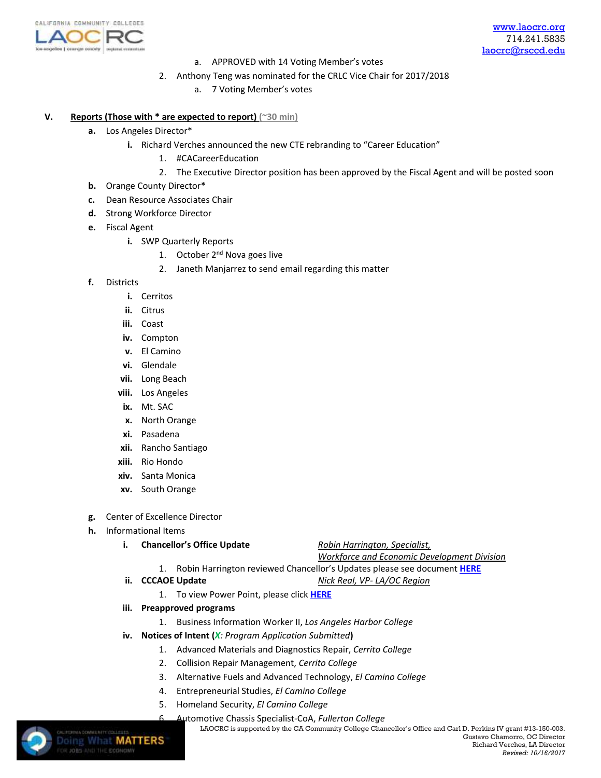

- a. APPROVED with 14 Voting Member's votes
- 2. Anthony Teng was nominated for the CRLC Vice Chair for 2017/2018
	- a. 7 Voting Member's votes

### **V. Reports (Those with \* are expected to report) (~30 min)**

- **a.** Los Angeles Director\*
	- **i.** Richard Verches announced the new CTE rebranding to "Career Education"
		- 1. #CACareerEducation
		- 2. The Executive Director position has been approved by the Fiscal Agent and will be posted soon
- **b.** Orange County Director\*
- **c.** Dean Resource Associates Chair
- **d.** Strong Workforce Director
- **e.** Fiscal Agent
	- **i.** SWP Quarterly Reports
		- 1. October 2<sup>nd</sup> Nova goes live
		- 2. Janeth Manjarrez to send email regarding this matter
- **f.** Districts
	- **i.** Cerritos
	- **ii.** Citrus
	- **iii.** Coast
	- **iv.** Compton
	- **v.** El Camino
	- **vi.** Glendale
	- **vii.** Long Beach
	- **viii.** Los Angeles
	- **ix.** Mt. SAC
	- **x.** North Orange
	- **xi.** Pasadena
	- **xii.** Rancho Santiago
	- **xiii.** Rio Hondo
	- **xiv.** Santa Monica
	- **xv.** South Orange
- **g.** Center of Excellence Director
- **h.** Informational Items
	- **i. Chancellor's Office Update** *Robin Harrington, Specialist,*

*Workforce and Economic Development Division*

- 1. Robin Harrington reviewed Chancellor's Updates please see document **[HERE](file:///C:/Users/ml08616/Downloads/September%202017%20Regional%20Consortia%20(1).pdf)**
- **ii. CCCAOE Update** *Nick Real, VP- LA/OC Region*
	- 1. To view Power Point, please click **[HERE](file:///C:/Users/ml08616/Downloads/CCCAOE_September%202017-Nick%20Real.pdf)**
- **iii. Preapproved programs**
	- 1. Business Information Worker II, *Los Angeles Harbor College*
- **iv. Notices of Intent (***X: Program Application Submitted***)**
	- 1. Advanced Materials and Diagnostics Repair, *Cerrito College*
	- 2. Collision Repair Management, *Cerrito College*
	- 3. Alternative Fuels and Advanced Technology, *El Camino College*
	- 4. Entrepreneurial Studies, *El Camino College*
	- 5. Homeland Security, *El Camino College*
		- 6. Automotive Chassis Specialist-CoA, *Fullerton College*



LAOCRCis supported by the CA Community College Chancellor's Office and Carl D. Perkins IV grant #13-150-003.<br>Doing What MATTERS Gustavo Chamorro, OC Director Gustavo Chamorro, OC Director Richard Verches, LA Director *Revised: 10/16/2017*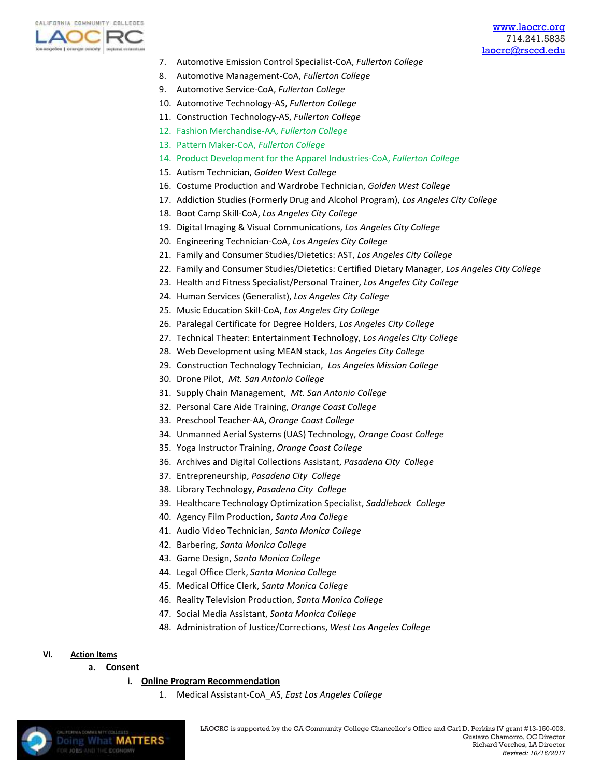

*Revised: 10/16/2017*

- 7. Automotive Emission Control Specialist-CoA, *Fullerton College*
- 8. Automotive Management-CoA, *Fullerton College*
- 9. Automotive Service-CoA, *Fullerton College*
- 10. Automotive Technology-AS, *Fullerton College*
- 11. Construction Technology-AS, *Fullerton College*
- 12. Fashion Merchandise-AA, *Fullerton College*
- 13. Pattern Maker-CoA, *Fullerton College*
- 14. Product Development for the Apparel Industries-CoA, *Fullerton College*
- 15. Autism Technician, *Golden West College*
- 16. Costume Production and Wardrobe Technician, *Golden West College*
- 17. Addiction Studies (Formerly Drug and Alcohol Program), *Los Angeles City College*
- 18. Boot Camp Skill-CoA, *Los Angeles City College*
- 19. Digital Imaging & Visual Communications, *Los Angeles City College*
- 20. Engineering Technician-CoA, *Los Angeles City College*
- 21. Family and Consumer Studies/Dietetics: AST, *Los Angeles City College*
- 22. Family and Consumer Studies/Dietetics: Certified Dietary Manager, *Los Angeles City College*
- 23. Health and Fitness Specialist/Personal Trainer, *Los Angeles City College*
- 24. Human Services (Generalist), *Los Angeles City College*
- 25. Music Education Skill-CoA, *Los Angeles City College*
- 26. Paralegal Certificate for Degree Holders, *Los Angeles City College*
- 27. Technical Theater: Entertainment Technology, *Los Angeles City College*
- 28. Web Development using MEAN stack, *Los Angeles City College*
- 29. Construction Technology Technician, *Los Angeles Mission College*
- 30. Drone Pilot, *Mt. San Antonio College*
- 31. Supply Chain Management, *Mt. San Antonio College*
- 32. Personal Care Aide Training, *Orange Coast College*
- 33. Preschool Teacher-AA, *Orange Coast College*
- 34. Unmanned Aerial Systems (UAS) Technology, *Orange Coast College*
- 35. Yoga Instructor Training, *Orange Coast College*
- 36. Archives and Digital Collections Assistant, *Pasadena City College*
- 37. Entrepreneurship, *Pasadena City College*
- 38. Library Technology, *Pasadena City College*
- 39. Healthcare Technology Optimization Specialist, *Saddleback College*
- 40. Agency Film Production, *Santa Ana College*
- 41. Audio Video Technician, *Santa Monica College*
- 42. Barbering, *Santa Monica College*
- 43. Game Design, *Santa Monica College*
- 44. Legal Office Clerk, *Santa Monica College*
- 45. Medical Office Clerk, *Santa Monica College*
- 46. Reality Television Production, *Santa Monica College*
- 47. Social Media Assistant, *Santa Monica College*
- 48. Administration of Justice/Corrections, *West Los Angeles College*

### **VI. Action Items**

**a. Consent** 

**Doing What MATTERS** 

- **i. Online Program Recommendation**
	- 1. Medical Assistant-CoA\_AS, *East Los Angeles College*